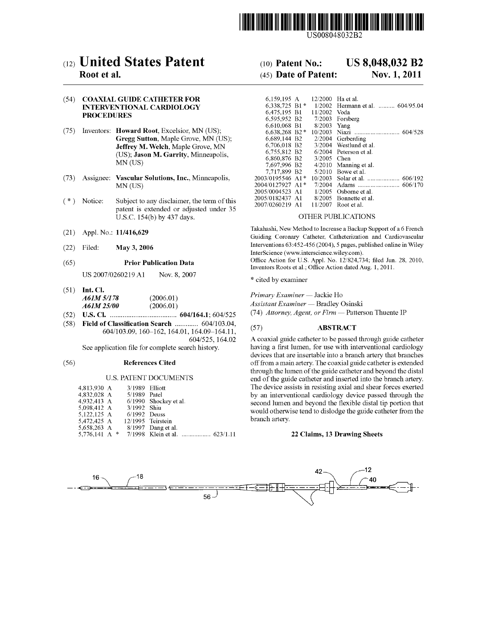

US008048032B2

# (12) United States Patent

# Root et a].

# (54) COAXIAL GUIDE CATHETER FOR INTERVENTIONAL CARDIOLOGY PROCEDURES

- (75) Inventors: Howard Root, Excelsior, MN (US); Gregg Sutton, Maple Grove, MN (US); Jeffrey M. Welch, Maple Grove, MN (US); Jason M. Garrity, Minneapolis, MN (US)
- (73) Assignee: Vascular Solutions, Inc., Minneapolis, MN (US)
- ( \* ) Notice: Subject to any disclaimer, the term of this patent is extended or adjusted under 35 U.S.C. 154(b) by 437 days.
- (21) App1.No.: 11/416,629
- (22) Filed: May 3, 2006

#### (65) Prior Publication Data

US 2007/0260219 A1 Nov. 8, 2007

- (51) Int. Cl. *A61M 5/178* (2006.01)<br>*A61M 25/00* (2006.01)  $A61M 25/00$
- (52) US. Cl. ................................... .. 604/164.1; 604/525
- (58) Field of Classification Search ............. 604/103.04, 604/103.09, 160-162, 164.01, 164.09-164.11, 604/525, 164.02

See application file for complete search history.

# (56) References Cited

## U.S. PATENT DOCUMENTS

| 4,813,930 A | 3/1989 Elliott |                         |
|-------------|----------------|-------------------------|
| 4,832,028 A | 5/1989 Patel   |                         |
| 4,932,413 A |                | $6/1990$ Shockey et al. |
| 5.098.412 A | 3/1992 Shiu    |                         |
| 5,122,125 A | 6/1992 Deuss   |                         |
| 5,472,425 A |                | 12/1995 Teirstein       |
| 5,658,263 A |                | 8/1997 Dang et al.      |
|             |                |                         |

#### US 8,048,032 B2 (10) Patent N0.:

#### Nov. 1, 2011 (45) Date of Patent:

| 6.159.195 A      |       | 12/2000 | Ha et al.                 |
|------------------|-------|---------|---------------------------|
| 6.338.725 B1*    |       | 1/2002  | Hermann et al.  604/95.04 |
| 6,475,195 B1     |       | 11/2002 | Voda                      |
| 6,595,952 B2     |       | 7/2003  | Forsberg                  |
| 6.610.068 B1     |       | 8/2003  | Yang                      |
| 6,638,268 B2*    |       | 10/2003 |                           |
| 6,689,144 B2     |       | 2/2004  | Gerberding                |
| 6.706.018 B2     |       | 3/2004  | Westlund et al.           |
| 6,755,812 B2     |       | 6/2004  | Peterson et al.           |
| 6,860,876 B2     |       | 3/2005  | Chen                      |
| 7.697,996 B2     |       | 4/2010  | Manning et al.            |
| 7.717.899 B2     |       | 5/2010  | Bowe et al.               |
| 2003/0195546 A1* |       | 10/2003 |                           |
| 2004/0127927 A1* |       | 7/2004  |                           |
| 2005/0004523     | - A 1 | 1/2005  | Osborne et al.            |
| 2005/0182437 A1  |       | 8/2005  | Bonnette et al.           |
| 2007/0260219 A1  |       | 11/2007 | Root et al.               |

# OTHER PUBLICATIONS

Takahashi, New Method to Increase a Backup Support of a 6 French Guiding Coronary Catheter, Catheterization and Cardiovascular Interventions 63:452-456 (2004), 5 pages, published online in Wiley InterScience (www.interscience.wiley.com).

Office Action for U.S. Appl. No. 12/824,734; filed Jun. 28, 2010, Inventors Roots et al.; Office Action dated Aug. 1, 2011.

\* cited by examiner

Primary Examiner - Jackie Ho

Assistant Examiner - Bradley Osinski (74) Attorney, Agent, or Firm  $-$  Patterson Thuente IP

# (57) ABSTRACT

A coaxial guide catheter to be passed through guide catheter having a first lumen, for use with interventional cardiology devices that are insertable into a branch artery that branches off from a main artery. The coaxial guide catheter is extended through the lumen of the guide catheter and beyond the distal end of the guide catheter and inserted into the branch artery. The device assists in resisting axial and shear forces exerted by an interventional cardiology device passed through the second lumen and beyond the flexible distal tip portion that Would otherwise tend to dislodge the guide catheter from the branch artery.

### 22 Claims, 13 Drawing Sheets

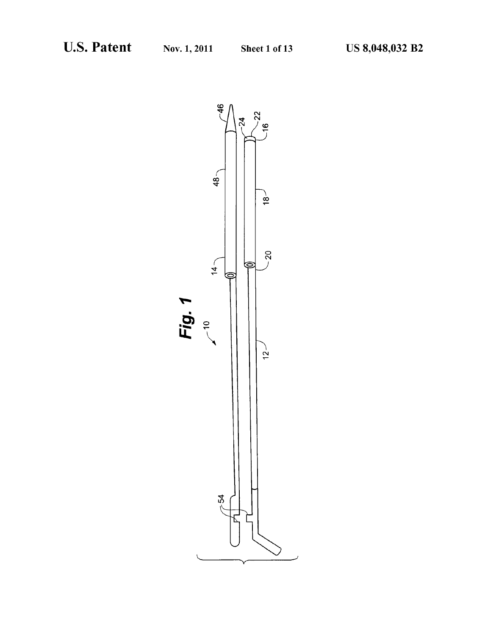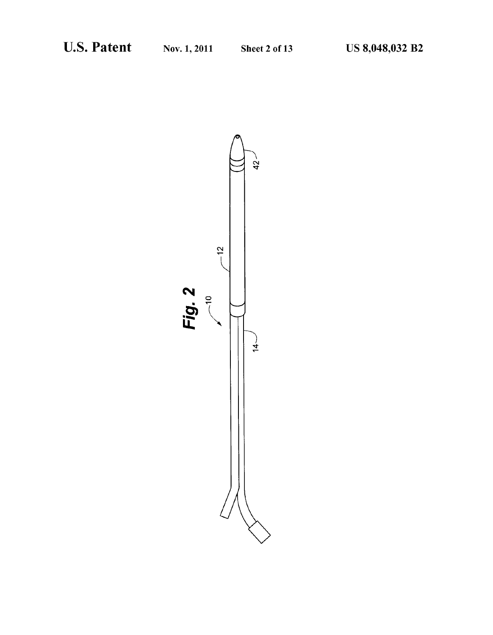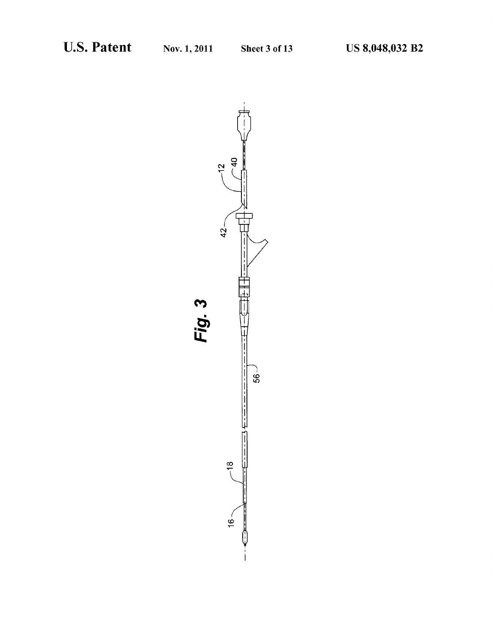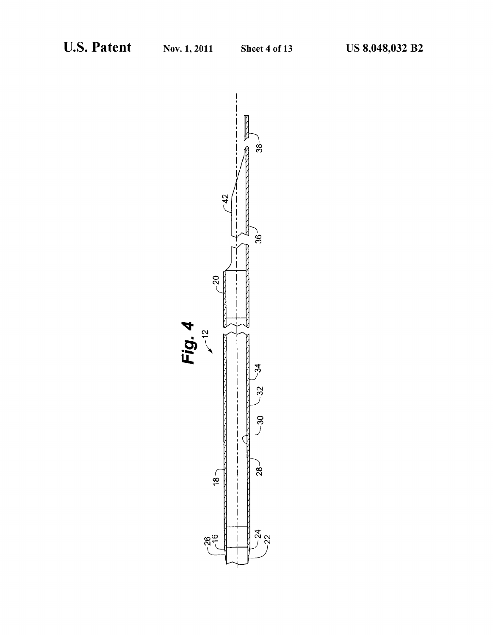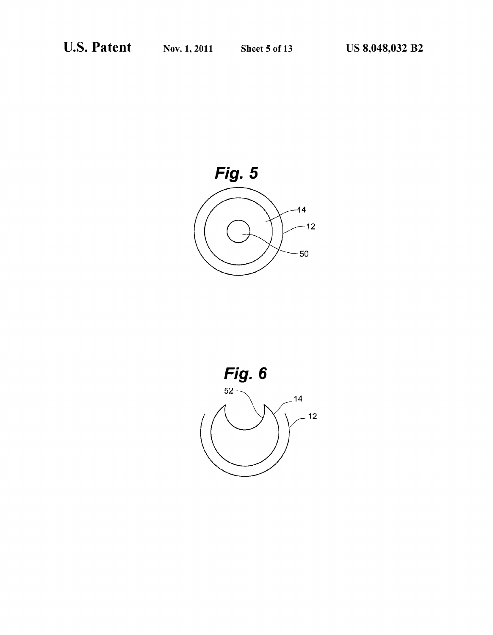

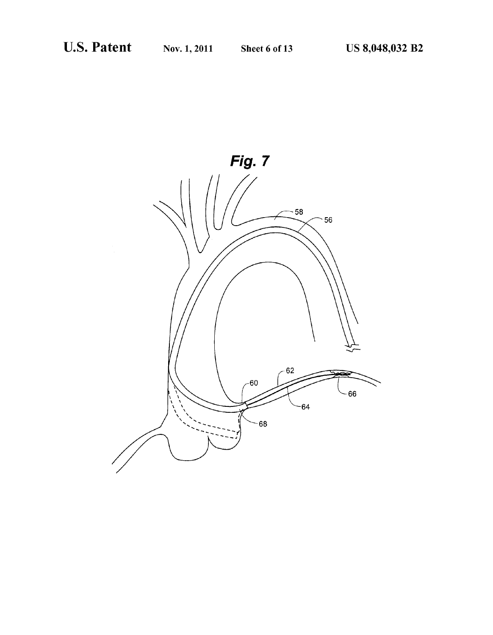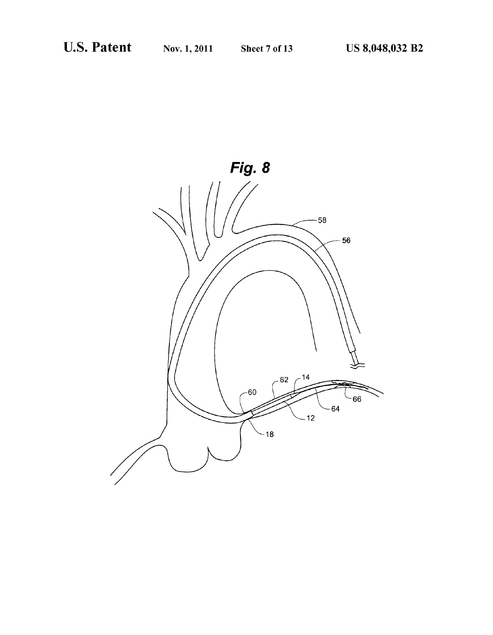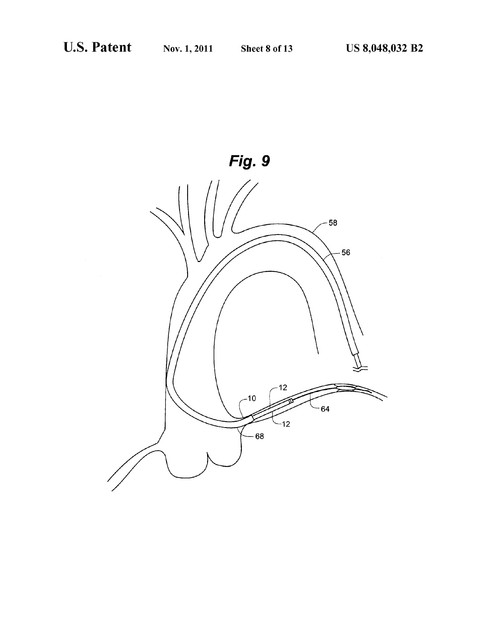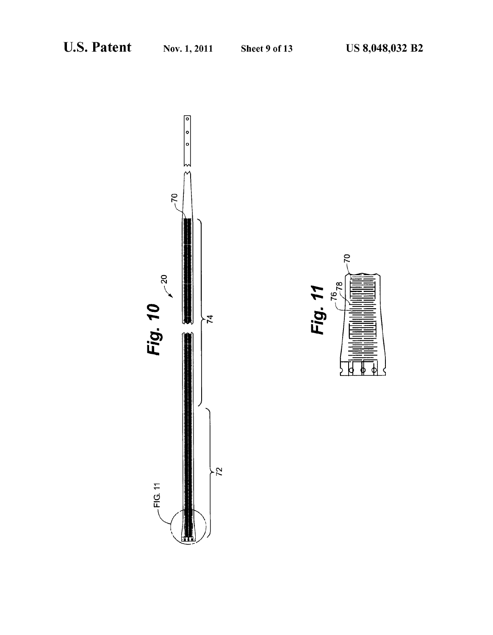

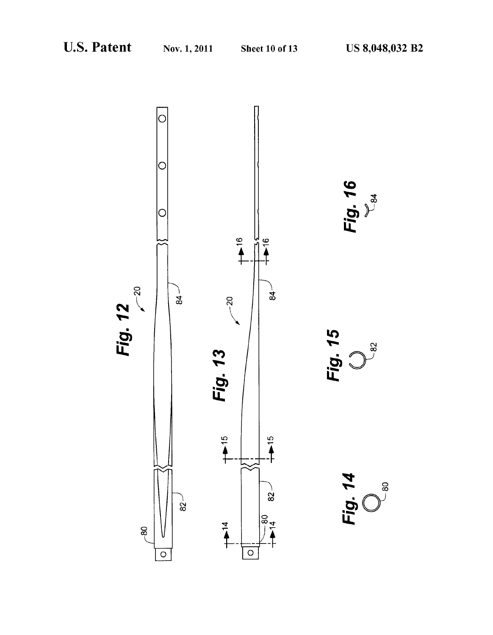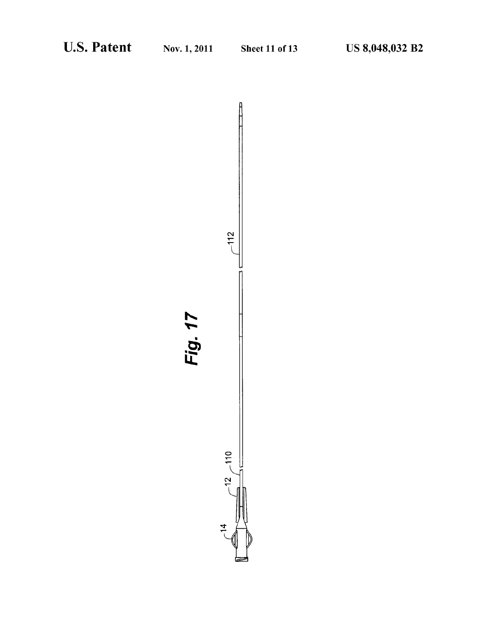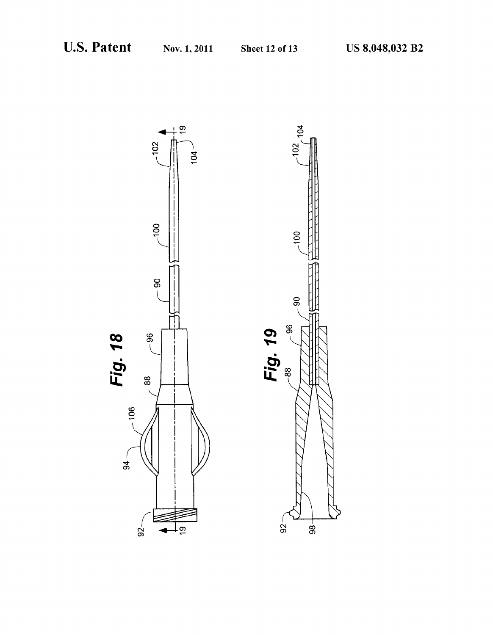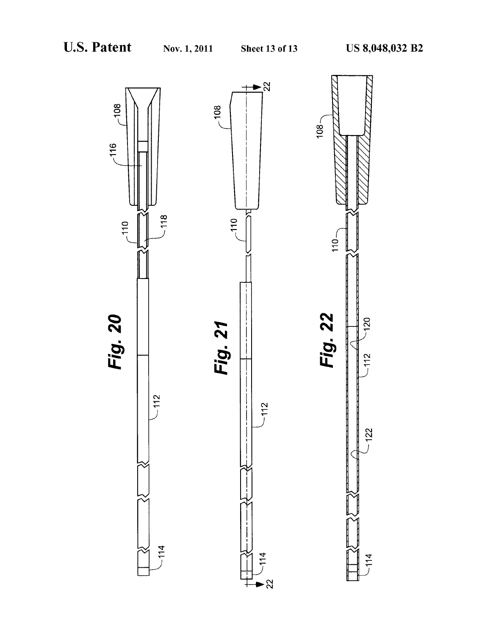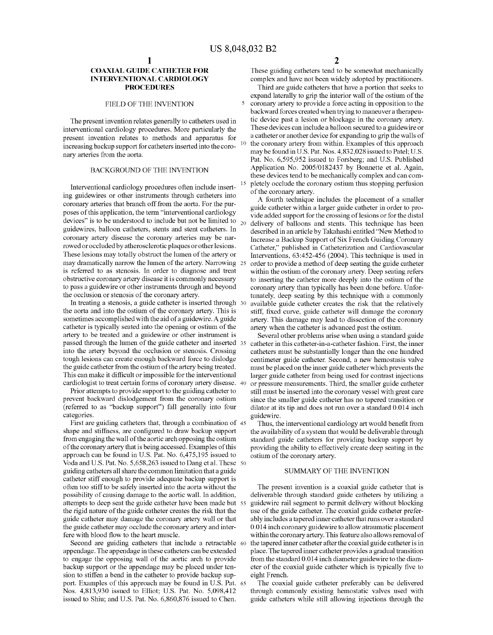# COAXIAL GUIDE CATHETER FOR INTERVENTIONAL CARDIOLOGY PROCEDURES

# FIELD OF THE INVENTION

The present invention relates generally to catheters used in interventional cardiology procedures. More particularly the present invention relates to methods and apparatus for increasing backup support for catheters inserted into the coro nary arteries from the aorta.

# BACKGROUND OF THE INVENTION

Interventional cardiology procedures often include insert ing guideWires or other instruments through catheters into coronary arteries that branch off from the aorta. For the pur poses of this application, the term "interventional cardiology devices" is to be understood to include but not be limited to  $_{20}$ guideWires, balloon catheters, stents and stent catheters. In coronary artery disease the coronary arteries may be nar roWed or occluded by athero sclerotic plaques or other lesions. These lesions may totally obstruct the lumen of the artery or may dramatically narrow the lumen of the artery. Narrowing 25 is referred to as stenosis. In order to diagnose and treat obstructive coronary artery disease it is commonly necessary to pass a guideWire or other instruments through and beyond the occlusion or stenosis of the coronary artery.

In treating a stenosis, a guide catheter is inserted through 30 the aorta and into the ostium of the coronary artery. This is sometimes accomplished with the aid of a guidewire. A guide catheter is typically seated into the opening or ostium of the artery to be treated and a guideWire or other instrument is passed through the lumen of the guide catheter and inserted 35 into the artery beyond the occlusion or stenosis. Crossing tough lesions can create enough backward force to dislodge the guide catheter from the ostium of the artery being treated. This can make it difficult or impossible for the interventional cardiologist to treat certain forms of coronary artery disease. 40

Prior attempts to provide support to the guiding catheter to prevent backWard dislodgement from the coronary ostium (referred to as "backup support") fall generally into four categories.

First are guiding catheters that, through a combination of 45 shape and stiffness, are configured to draw backup support from engaging the Wall of the aortic arch opposing the ostium of the coronary artery that is being accessed. Examples of this approach can be found in U.S. Pat. No. 6,475,195 issued to Voda and U.S. Pat. No. 5,658,263 issued to Dang et al. These 50 guiding catheters all share the common limitation that a guide catheter stiff enough to provide adequate backup support is often too stiff to be safely inserted into the aorta Without the possibility of causing damage to the aortic Wall. In addition, attempts to deep seat the guide catheter have been made but 55 the rigid nature of the guide catheter creates the risk that the guide catheter may damage the coronary artery Wall or that the guide catheter may occlude the coronary artery and inter fere With blood How to the heart muscle.

Second are guiding catheters that include a retractable 60 appendage. The appendage in these catheters can be extended to engage the opposing Wall of the aortic arch to provide backup support or the appendage may be placed under ten sion to stiffen a bend in the catheter to provide backup sup port. Examples of this approach may be found in U.S. Pat. 65 Nos. 4,813,930 issued to Elliot; U.S. Pat. No. 5,098,412 issued to Shiu; and U.S. Pat. No. 6,860,876 issued to Chen.

These guiding catheters tend to be somewhat mechanically complex and have not been Widely adopted by practitioners.

Third are guide catheters that have a portion that seeks to expand laterally to grip the interior Wall of the ostium of the coronary artery to provide a force acting in opposition to the backWard forces created When trying to maneuver a therapeu tic device past a lesion or blockage in the coronary artery. These devices can include a balloon secured to a guidewire or a catheter or another device for expanding to grip the Walls of the coronary artery from Within. Examples of this approach may be found in U.S. Pat. Nos. 4,832,028 issued to Patel; U.S. Pat. No. 6,595,952 issued to Forsberg; and U.S. Published Application No. 2005/0182437 by Bonnette et al. Again, these devices tend to be mechanically complex and can com pletely occlude the coronary ostium thus stopping perfusion of the coronary artery.

A fourth technique includes the placement of a smaller guide catheter Within a larger guide catheter in order to pro vide added support for the crossing of lesions or for the distal delivery of balloons and stents. This technique has been described in an article by Takahashi entitled "NeW Method to Increase a Backup Support of Six French Guiding Coronary Catheter," published in Catheterization and Cardiovascular Interventions, 63:452-456 (2004). This technique is used in order to provide a method of deep seating the guide catheter within the ostium of the coronary artery. Deep seating refers to inserting the catheter more deeply into the ostium of the coronary artery than typically has been done before. Unfor tunately, deep seating by this technique With a commonly available guide catheter creates the risk that the relatively stiff, fixed curve, guide catheter will damage the coronary artery. This damage may lead to dissection of the coronary artery When the catheter is advanced past the ostium.

Several other problems arise When using a standard guide catheter in this catheter-in-a-catheter fashion. First, the inner catheters must be substantially longer than the one hundred centimeter guide catheter. Second, a neW hemostasis valve must be placed on the inner guide catheter Which prevents the larger guide catheter from being used for contrast injections or pressure measurements. Third, the smaller guide catheter still must be inserted into the coronary vessel With great care since the smaller guide catheter has no tapered transition or dilator at its tip and does not run over a standard 0.014 inch guidewire.

Thus, the interventional cardiology art would benefit from the availability of a system that Would be deliverable through standard guide catheters for providing backup support by providing the ability to effectively create deep seating in the ostium of the coronary artery.

# SUMMARY OF THE INVENTION

The present invention is a coaxial guide catheter that is deliverable through standard guide catheters by utilizing a guideWire rail segment to permit delivery Without blocking use of the guide catheter. The coaxial guide catheter prefer ably includes a tapered inner catheter that runs over a standard 0.014 inch coronary guidewire to allow atraumatic placement within the coronary artery. This feature also allows removal of the tapered inner catheter after the coaxial guide catheter is in place. The tapered inner catheter provides a gradual transition from the standard 0.014 inch diameter guidewire to the diameter of the coaxial guide catheter which is typically five to eight French.

The coaxial guide catheter preferably can be delivered through commonly existing hemostatic valves used With guide catheters While still alloWing injections through the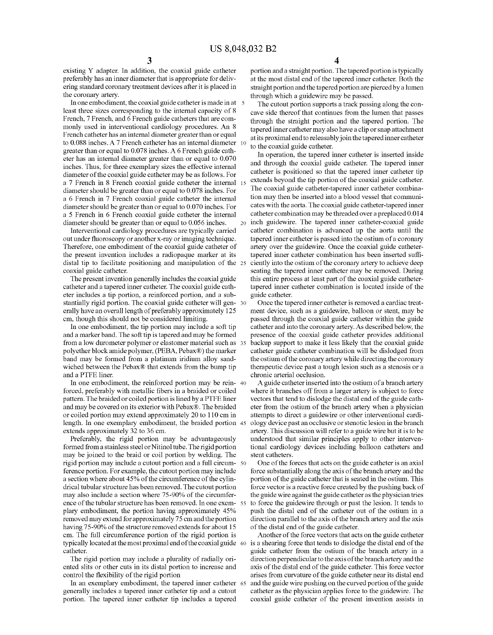existing Y adapter. In addition, the coaxial guide catheter preferably has an inner diameter that is appropriate for delivering standard coronary treatment devices after it is placed in the coronary artery.

In one embodiment, the coaxial guide catheter is made in at 5 least three sizes corresponding to the internal capacity of 8 French, 7 French, and 6 French guide catheters that are commonly used in interventional cardiology procedures. An 8 French catheter has an internal diameter greater than or equal to 0.088 inches. A 7 French catheter has an internal diameter 10 greater than or equal to 0.078 inches. A 6 French guide catheter has an internal diameter greater than or equal to 0.070 inches. Thus, for three exemplary sizes the effective internal diameter of the coaxial guide catheter may be as follows. For a 7 French in 8 French coaxial guide catheter the internal 15 diameter should be greater than or equal to 0.078 inches. For a 6 French in 7 French coaxial guide catheter the internal diameter should be greater than or equal to 0.070 inches. For a 5 French in 6 French coaxial guide catheter the internal diameter should be greater than or equal to 0.056 inches.

Interventional cardiology procedures are typically carried out under fluoroscopy or another x-ray or imaging technique. Therefore, one embodiment of the coaxial guide catheter of the present invention includes a radiopaque marker at its distal tip to facilitate positioning and manipulation of the 25 coaxial guide catheter.

The present invention generally includes the coaxial guide catheter and a tapered inner catheter. The coaxial guide catheter includes a tip portion, a reinforced portion, and a substantially rigid portion. The coaxial guide catheter will gen- 30 erally have an overall length of preferably approximately 125 cm, though this should not be considered limiting.

In one embodiment, the tip portion may include a soft tip and a marker band. The soft tip is tapered and may be formed from a low durometer polymer or elastomer material such as 35 polyether block amide polymer, (PEBA, Pebax®) the marker band may be formed from a platinum iridium alloy sandwiched between the Pebax® that extends from the bump tip and a PTFE liner.

In one embodiment, the reinforced portion may be rein-40 forced, preferably with metallic fibers in a braided or coiled pattern. The braided or coiled portion is lined by a PTFE liner and may be covered on its exterior with Pebax®. The braided or coiled portion may extend approximately 20 to 110 cm in length. In one exemplary embodiment, the braided portion 45 extends approximately 32 to 36 cm.

Preferably, the rigid portion may be advantageously formed from a stainless steel or Nitinol tube. The rigid portion may be joined to the braid or coil portion by welding. The rigid portion may include a cutout portion and a full circum- 50 ference portion. For example, the cutout portion may include a section where about 45% of the circumference of the cylindrical tubular structure has been removed. The cutout portion may also include a section where 75-90% of the circumference of the tubular structure has been removed. In one exem- 55 plary embodiment, the portion having approximately 45% removed may extend for approximately 75 cm and the portion having 75-90% of the structure removed extends for about 15 cm. The full circumference portion of the rigid portion is typically located at the most proximal end of the coaxial guide 60 catheter

The rigid portion may include a plurality of radially oriented slits or other cuts in its distal portion to increase and control the flexibility of the rigid portion

In an exemplary embodiment, the tapered inner catheter 65 generally includes a tapered inner catheter tip and a cutout portion. The tapered inner catheter tip includes a tapered

portion and a straight portion. The tapered portion is typically at the most distal end of the tapered inner catheter. Both the straight portion and the tapered portion are pierced by a lumen through which a guidewire may be passed.

The cutout portion supports a track passing along the concave side thereof that continues from the lumen that passes through the straight portion and the tapered portion. The tapered inner catheter may also have a clip or snap attachment at its proximal end to releasably join the tapered inner catheter to the coaxial guide catheter.

In operation, the tapered inner catheter is inserted inside and through the coaxial guide catheter. The tapered inner catheter is positioned so that the tapered inner catheter tip extends beyond the tip portion of the coaxial guide catheter. The coaxial guide catheter-tapered inner catheter combination may then be inserted into a blood vessel that communicates with the aorta. The coaxial guide catheter-tapered inner catheter combination may be threaded over a preplaced 0.014 20 inch guidewire. The tapered inner catheter-coaxial guide catheter combination is advanced up the aorta until the tapered inner catheter is passed into the ostium of a coronary artery over the guidewire. Once the coaxial guide cathetertapered inner catheter combination has been inserted sufficiently into the ostium of the coronary artery to achieve deep seating the tapered inner catheter may be removed. During this entire process at least part of the coaxial guide cathetertapered inner catheter combination is located inside of the guide catheter.

Once the tapered inner catheter is removed a cardiac treatment device, such as a guidewire, balloon or stent, may be passed through the coaxial guide catheter within the guide catheter and into the coronary artery. As described below, the presence of the coaxial guide catheter provides additional backup support to make it less likely that the coaxial guide catheter guide catheter combination will be dislodged from the ostium of the coronary artery while directing the coronary therapeutic device past a tough lesion such as a stenosis or a chronic arterial occlusion.

A guide catheter inserted into the ostium of a branch artery where it branches off from a larger artery is subject to force vectors that tend to dislodge the distal end of the guide catheter from the ostium of the branch artery when a physician attempts to direct a guidewire or other interventional cardiology device past an occlusive or stenotic lesion in the branch artery. This discussion will refer to a guide wire but it is to be understood that similar principles apply to other interventional cardiology devices including balloon catheters and stent catheters.

One of the forces that acts on the guide catheter is an axial force substantially along the axis of the branch artery and the portion of the guide catheter that is seated in the ostium. This force vector is a reactive force created by the pushing back of the guide wire against the guide catheter as the physician tries to force the guidewire through or past the lesion. It tends to push the distal end of the catheter out of the ostium in a direction parallel to the axis of the branch artery and the axis of the distal end of the guide catheter.

Another of the force vectors that acts on the guide catheter is a shearing force that tends to dislodge the distal end of the guide catheter from the ostium of the branch artery in a direction perpendicular to the axis of the branch artery and the axis of the distal end of the guide catheter. This force vector arises from curvature of the guide catheter near its distal end and the guide wire pushing on the curved portion of the guide catheter as the physician applies force to the guidewire. The coaxial guide catheter of the present invention assists in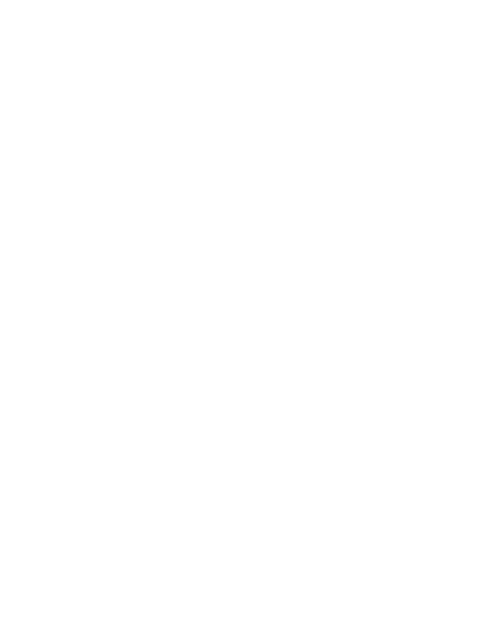$40$ 

65

resisting both the axial forces and the shearing forces that tend to dislodge a guide catheter from the ostium of a branch artery.

The system is deliverable using standard techniques utilizing currently available equipment. The present invention also 5 allows atraumatic placement within the coronary artery. Further, the invention is deliverable through an existing hemostatic valve arrangement on a guide catheter without preventing injections through existing Y adapters. Finally, the invention has an inner diameter acceptable for delivering 10 standard coronary devices after it is placed in the blood vessel.

# BRIEF DESCRIPTION OF THE DRAWINGS

FIG. 1 is a schematic depiction of the coaxial guide catheter and a tapered inner catheter in accordance with the present invention:

FIG. 2 is schematic depiction of the coaxial guide catheter and tapered inner catheter assembled in accordance with the 20 present invention:

FIG. 3 is a plan view of a guide catheter, the coaxial guide catheter, and a treatment catheter in accordance with the present invention;

FIG. 4 is a sectional view of the coaxial guide catheter in 25 accordance with the present invention;

FIG. 5 is a cross sectional view of the coaxial guide catheter and tapered inner catheter in accordance with the present invention;

FIG. 6 is another cross sectional view of the coaxial guide 30 catheter and tapered inner catheter in accordance with the present invention;

FIG. 7 is a schematic view of a guide catheter and a guidewire located in an aortic arch and a coronary artery and the guide catheter and guidewire in a second position depicted 35 in phantom:

FIG. 8 is a schematic view of a guide catheter, a guidewire, a coaxial guide catheter in accordance with the present invention and a tapered inner catheter located in the aortic arch and coronary artery;

FIG. 9 is a schematic view of a guide catheter, a guidewire and a coaxial guide catheter in accordance with the present invention located in the aortic arch and coronary artery;

FIG. 10 is a flat pattern for making relief cuts in a curved rigid portion of the coaxial guide catheter in accordance with 45 of the circumference of the tube. Hemicylindrical portion 36 the present invention;

FIG. 11 is a detailed view taken from FIG. 10:

FIG. 12 is a plan view of the rigid portion in accordance with the present invention;

FIG. 13 is an elevational view of the rigid portion;

FIG. 14 is a sectional view of the rigid portion taken along section line 14-14 of FIG. 13; and

FIG. 15 is a sectional view of the rigid portion taken along section line 15-15 of FIG. 13.

FIG. 16 is a sectional view of the rigid portion taken along 55 section line 16-16 of FIG. 13.

FIG. 17 is a plan view of a coaxial guide catheter having a longer rail segment and a tapered inner catheter in accordance with the present invention.

FIG. 18 is a plan view of the tapered inner catheter as 60 depicted in the FIG. 17.

FIG. 19 is a cross-sectional view of the tapered inner catheter taken along section lines 19-19 of FIG. 18.

FIG. 20 is a plan view of a coaxial guide catheter in accordance with the present invention.

FIG. 21 is an elevational view of a coaxial guide catheter in accordance with the present invention.

FIG. 22 is a cross-sectional view taken along section line 22-22 of FIG. 21.

### DETAILED DESCRIPTION OF THE INVENTION

Referring to FIGS. 1 and 2, coaxial guide catheter assembly 10 of the present invention generally includes coaxial guide catheter 12 and tapered inner catheter 14.

Coaxial guide catheter 12 generally includes tip portion 16, reinforced portion 18, and rigid portion 20. The overall length of the coaxial guide catheter typically can be approximately 125 cm. This length should not be considered limiting.

Tip portion 16 generally includes bump tip 22 and marker band 24. Bump tip 22 includes taper 26. Bump tip 24 is relatively flexible and may be formed, for example, from 4033 Pebax®. Bump tip 22 may be yellow or another high visibility color for ease of handling.

Marker band 24 is formed of a radiopaque material such as platinum/iridium alloy usually at a 90/10 ratio. Marker band 24 may be sandwiched between an outer Pebax® material 28 and a PTFE liner 30. Outer Pebax® material 28 in this location may be formed of 5533 Pebax, for example.

Reinforced portion 18 includes braid or coil reinforcement 32. Braid or coil reinforcement 32 may be formed of metal, plastic, graphite, or composite structures known to the art. Reinforced portion 18 may be lined on the interior by PTFE liner 30 and covered on the exterior by Pebax® material 28. Tip portion 16 and reinforced portion 18 together form a substantially cylindrical structure. Braid or coil reinforcement 32 may extend approximately 20 to 30 cm. In one exemplary embodiment, braid or coiled portion has a length of approximately 32 to 36 cm.

Rigid portion 20 may be secured to braid or coil reinforcement by, for example, welding or bonding. Rigid portion 20 may be formed from a hypotube or a section of stainless steel or Nitinol tubing. Other substantially rigid materials may be used as well. Rigid portion 20 includes first full circumference portion 34, hemicylindrical portion 36, arcuate portion 38, and second full circumference portion 40.

First full circumference portion 34 is joined to braid or coil reinforcement 32. First full circumference portion 34 extends for a relatively short distance, for example, 0.25 cm.

Hemicylindrical portion 36 desirably includes 40% to 70% may extend, for example, approximately 20 to 75 cm in length.

Hemicylindrical portion 36 tapers into arcuate portion 38. Arcuate portion 38 extends from 25% to 40% of the cir-

50 cumference of the tube. Arcuate portion 38 may extend linearly, for example, for about 15 cm.

Arcuate portion 38 connects to second full circumference portion 40. Second full circumference portion 40 may extend for a short distance, for example, approximately 3 cm.

Tapered inner catheter 14 generally includes tapered inner catheter tip 42 and cutout portion 44. Tapered inner catheter tip 42 tapers gradually from the diameter of a guide wire to the diameter of tip portion 16.

Tapered inner catheter tip 42 includes tapered portion 46 at a distal end thereof, and straight portion 48. Both tapered portion 46 and straight portion 48 are pierced by lumen 50.

Cutout portion 44 defines a concave track 52 along its length. Concave track 52 is continuous with lumen 50.

Tapered inner catheter 14 may also include clip 54 at a proximal end thereof to releasably join tapered inner catheter 14 to coaxial guide catheter 12. Thus, tapered inner catheter 14 is keyed to coaxial guide catheter 12.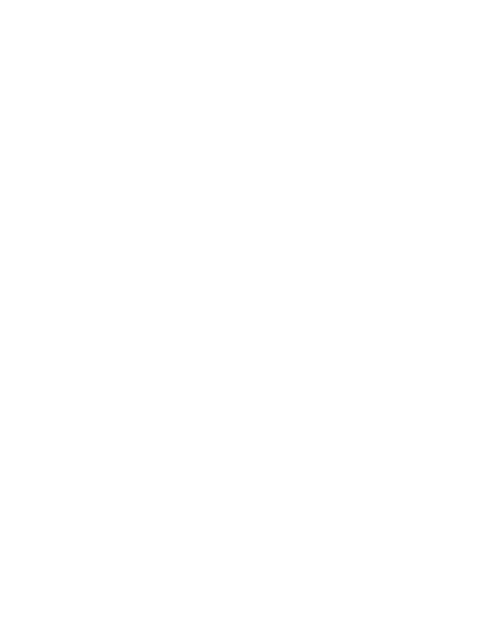Coaxial guide catheter 12 may include, starting at its distal end, a first portion having a flexural modulus of about 13,000 PSI plus or minus 5000 PSI, a second portion having a flexural modulus of about 29,000 PSI plus or minus 10,000 PSI, a third portion having a flexural modulus of about 49,000 PSI 5 plus or minus 10,000 PSI and a fourth portion having a flexural modulus of about 107,000 PSI plus or minus 20,000 PSI. Coaxial guide catheter 12 may be formed, for example, of 4033 Pebax® at bump tip 22 for the first 0.1 cm. This portion may followed by a section about three cm long of 10 5533 Pebax® that covers marker band 24 and the distal portion of braid or coil reinforcement 32. Next may come an approximately five cm portion of 6333 Pebax® which encloses part of braid or coil reinforcement 32 followed by an approximately twenty seven cm portion of 7233 Pebax® covering the most proximal portion of braid or coil reinforcement 32. Braid or coil reinforcement 32 is bonded to rigid portion 20 which may be formed from stainless steel or a similar biocompatible material. Rigid portion 20 may extend for approximately ninety cm and include first full circumfer-20 ence portion 34 (approximately 0.25 cm), hemicylindrical portion 36 (approximately seventy five cm), arcuate portion (approximately fifteen cm) and second full circumference portion (approximately three cm.) Rigid portion 20 may be formed from a stainless steel or Nitinol hypo tube. 25

FIG. 7 depicts a typical guide catheter 56 passing through aortic arch 58 into ostium 60 of coronary artery 62. FIG. 7 also depicts guidewire 64 passing through the guide catheter 56 and into coronary artery 62. Located in coronary artery 62 is stenotic lesion 66. In a typical procedure, guidewire 64 is 30 placed through the aortic arch 58 and into the ostium 60 of the coronary artery. 62. The guide catheter 56 is passed over guidewire 64 until distal end 68 of guide catheter 56 is seated in ostium 60 of coronary artery  $62$ . Force is then applied to the guidewire 64 to push guidewire 64 past stenotic lesion 66 or 35 an occlusive lesion (not shown). Once the guidewire 64 is pushed past stenotic lesion 66 or occlusive lesion (not shown), a treating catheter including a stent or balloon can be passed along the guidewire to stenotic lesion 66 or occlusive lesion (not shown). The lesion can then be treated.

As can be seen in phantom, in FIG. 7, the application of force to guidewire 64 can cause guide catheter 56 to dislodge from ostium  $60$  of coronary artery  $62$ . This can occur in the case of a tough stenotic lesion 66 or occlusive lesion (not shown) when it is difficult to pass the guidewire 64 beyond the 45 stenotic lesion 66 or occlusive lesion (not shown).

Referring the FIG. 8 coaxial guide catheter 12 is depicted as used with guide catheter 56, guidewire 64, and tapered inner catheter 14. Here, coaxial guide catheter 12 with tapered inner catheter 14 is passed through guide catheter 56 50 and over guidewire 64 into coronary artery 62 after the guide catheter 56 has been placed in the ostium 60 of coronary artery 62, as depicted in FIG. 7. Coaxial guide catheter 12, with tapered inner catheter 14, provide an inner support member for proper translation over guidewire 64. Tapered inner 55 catheter tip 42 provides a distal tapered transition from guidewire 64 to coaxial guide catheter 12. Once coaxial guide catheter 12 is in place, tapered inner catheter 14 is removed from the inside of coaxial guide catheter 12.

Coaxial guide catheter 12 is now ready to accept a treat- 60 ment catheter such as a stent or balloon catheter. Referring to FIG. 9, the combination of guide catheter 56 with coaxial guide catheter 12 inserted into ostium 60 of coronary artery 62 provides improved distal anchoring of guide catheter 56 and coaxial guide catheter 12. The presence of coaxial guide 65 catheter 12 within guide catheter 56 also provides stiffer back up support than guide catheter 56 alone. The combination of

8

improved distal anchoring and stiffening of the guide catheter 56/coaxial guide catheter 12 combination provides additional back up support to resist dislodging of guide catheter 56 from ostium 60 when force is applied to guidewire 64 to pass through stenotic lesion 66 or another lesion. In addition, the improved back up support assists in the positioning of a treating catheter that may include a stent or balloon.

Referring to FIGS. 10 and 11, in some embodiments of coaxial guide catheter 12, rigid portion 20 may be perforated by relief cuts 70. Relief cuts 70 may be classed into first group 72 and second group 74.

First group 72 may be located near to the juncture between rigid portion 20 and reinforced portion 18. First group 72 of relief cuts 70 are relatively closely spaced. For example, first group 72 of relief cuts 70 may be spaced approximately 0.010 inches apart. First group 72 of relief cuts 70 extends for a relatively short distance, for example, approximately 2 inches.

Second group 74 of relief cuts 70 may extend for a relatively long distance, for example, approximately 30-35 inches. Second group 74 of relief cuts 70 are spaced farther apart than first group 72. For example, relief cuts 70 of second  $group 74$  may be spaced approximately  $0.020$  inches between cuts. Referring particularly to FIG. 11, relief cuts 70 may include single cuts 76 and double cuts 78. Single cuts 76 may include an individual linear cut, as can be seen in FIG. 11. Double cuts 78 may include two linear cuts along a single line but separated by a short section of uncut structure. Typically, single cuts 76 and double cuts 78 are alternated along the length of rigid portion 20. Generally, the overall length of single cut 76 may be less than the overall length of two double cuts 78.

In an embodiment depicted in FIGS. 12-15, rigid portion includes full circumference portion 80, greater than 180° portion 82, and less than 180° portion 84. Greater than 180° portion 82 may, for example, include structure forming approximately 300° of the circumference of the cylinder. Less than 180° portion may include, for example, structure form-40 ing approximately 90° of the circumference of a cylinder. Greater than  $180^\circ$  portion 82 may extend approximately 22-25 inches. Greater than  $180^\circ$  portion 82 holds tapered inner catheter 14 within rigid portion 20.

When tapered inner catheter is inserted into coaxial guide catheter 12 greater than 180° portion 82 grips tapered inner catheter 14 which is exposed through the opening in greater than  $180^{\circ}$  portion 82. Thus, the overall structure of tapered inner catheter 14 along with greater than  $180^\circ$  portion 82 is substantially cylindrical. Accordingly, when inserted through a guide catheter 56 having a Touhey-Borst style adapter, the Touhey-Borst style adapter can still seal around rigid portion 20 and enclosed inner tapered catheter 14.

Referring to FIG. 16, another embodiment of coaxial guide catheter assembly 10 includes coaxial guide catheter 12 and tapered inner catheter 14. Tapered inner catheter 14 is keyed to coaxial guide catheter 12 at hub 86.

Referring to FIGS. 17 and 18, tapered inner catheter 14 generally includes connector hub 88 and catheter tube 90.

Connector hub 88 generally includes connector portion 92, grip portion 94 and joining portion 96. Connector hub 88 defines funnel portion 98 therein.

Catheter tube 90 generally includes straight portion 100, tapered portion 102 and marker band tip 104. Catheter tube 90 is joined to connector hub 88 at joining portion 96. Tapered inner catheter 14 may be formed in whole or in part from low-density polyethylene plastic, for example. Other suitable materials known to the catheter arts may be used as well.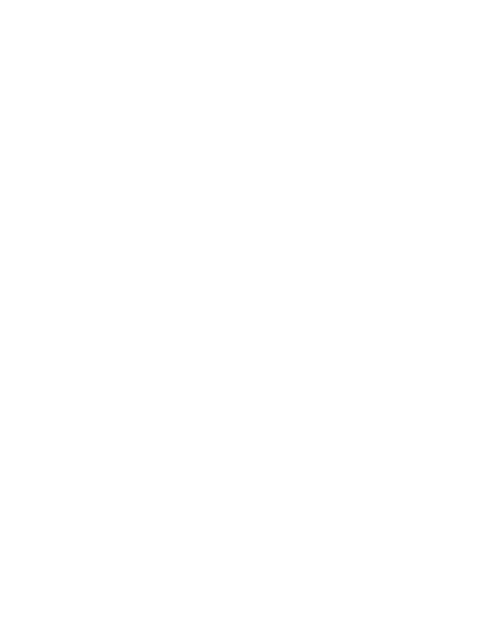$30$ 

Grip portion 94 desirably includes gripping ears 106. Gripping ears 106 may extend outwardly from grip portion 94 substantially radially and be shaped for convenient gripping by a physician.

Referring to FIGS. 19 through 21, in this embodiment, 5 coaxial guide catheter 12 includes interrupted hub 108, hemitube portion 110, braided portion 112 and tip portion 114.

Interrupted hub 108 defines an opening 116, along a side thereof. Interrupted hub 108 may be substantially C-shaped or U-shaped in cross section. Opening 116 is sized so that 10 tapered inner catheter 14 may be passed readily therethrough in a direction perpendicular to the long axes of both interrupted hub 108 and tapered inner catheter 14. Hemi-tube portion 110 is immediately distal to interrupted hub 108. Hemi-tube portion 110 may be formed, for example, from a 15 metal hypo tube forming approximately 50% of the circumference of a cylinder. Hemi-tube portion 110 is aligned so that opening 116 of interrupted hub 108 is coextensive with opening 118 of hemi-tube portion 110. Hemi-tube portion 110 is joined to braided portion 112, for example, by adhesive, 20 bonding or welding. The location where hemi-tube portion 110 and braided portion 112 join defines the entire circumference of a cylinder.

Braided portion 112 may be reinforced by a coil or braid, 120. Coil or braid 120 may be formed of metal or another 25 suitable reinforcing material.

Tip portion 114 is generally not reinforced and is substantially soft. Tip portion 114 is similarly structured to tapered inner catheter tip 42. Tip portion 114 may include a radiopaque marker band 24.

Beginning at the distal end of coaxial guide catheter 12, tip portion 114 may be formed substantially of, for example, 2533 Pebax® This may be followed by a section of 3533 Pebax®, then by a section of 5533 Pebax®, then by a further section of 7233 Pebax®. These Pebax® portions may all 35 incorporate, for example, about 20% barium sulfate (BaSO<sub>4</sub>).

In one embodiment, tip portion 114 and braided portion 112 may have an overall length together of approximately one hundred nine centimeters. Hemi-tube portion 110 and interrupted hub 108 may together have an overall length of 40 approximately eighteen centimeters.

In this embodiment, coaxial guide catheter 12 may be lined with a PTFE liner 122.

In operation, a guide catheter 56 is inserted into a major blood vessel in the body such as aortic arch 58 over guidewire 45 64 and the distal end 68 of guide catheter 56 is brought into proximity of ostium 60 of a smaller branch blood vessel, such as coronary artery 62, that it is desired to enter. Coaxial guide catheter 12, with tapered inner catheter 14, is inserted through guide catheter 56 and over guidewire 64. Guide catheter 56, 50 guidewire 64, coaxial guide catheter 12, and tapered inner catheter 14 are manipulated to insert tapered inner catheter tip 42 into the ostium 60 of the blood vessel that branches off from the major blood vessel. The bump tip 22 of coaxial guide catheter 12 is inserted with tapered inner catheter tip 42 well 55 into ostium 60 of coronary artery 62 or other blood vessel until bump tip 22 of coaxial guide catheter 12 achieves a deep seated position. Tapered inner catheter 14 is then withdrawn from the lumen of coaxial guide catheter 12. An interventional cardiology treatment device such as a catheter bearing 60 a stent or a balloon (not shown) is then inserted through the lumen of coaxial guide catheter 12 which remains inside guide catheter 56.

When the interventional cardiology device reaches a stenosis or blockage in coronary artery 62 or another branch blood 65 vessel, force may be applied to the interventional cardiology device catheter while reinforced portion 18 and rigid portion

20 of coaxial guide catheter 12 provide back up support. The back force that would tend to dislodge bump tip 22 from a deep seated position in the ostium in the branch blood vessel is transferred through reinforced portion 18 to rigid portion 20 of coaxial guide catheter 12. A physician may apply a force to the proximal end of the coaxial guide catheter 12 to resist dislodging of bump tip 22 from the ostium of the branch artery.

One advantage of the present invention over prior art approaches is that the present invention does not interfere the injection of fluids via the Y-adapter of guide catheter 56 as does the use of a smaller catheter within a larger catheter.

The present invention may be embodied in other specific forms without departing from the spirit of the essential attributes thereof; therefore, the illustrated embodiments should be considered in all respects as illustrative and not restrictive, reference being made to the appended claims rather than to the foregoing description to indicate the scope of the invention.

What is claimed is:

1. A device for use with a standard guide catheter, the standard guide catheter having a continuous lumen extending for a predefined length from a proximal end at a hemostatic valve to a distal end adapted to be placed in a branch artery, the continuous lumen of the guide catheter having a circular cross-sectional inner diameter sized such that interventional cardiology devices are insertable into and through the lumen to the branch artery, the device comprising:

- a flexible tip portion defining a tubular structure having a circular cross-section and a length that is shorter than the predefined length of the continuous lumen of the guide catheter, the tubular structure having a cross-sectional outer diameter sized to be insertable through the crosssectional inner diameter of the continuous lumen of the guide catheter and defining a coaxial lumen having a cross-sectional inner diameter through which interventional cardiology devices are insertable; and
- a substantially rigid portion proximal of and operably connected to, and more rigid along a longitudinal axis than, the flexible tip portion and defining a rail structure without a lumen and having a maximal cross-sectional dimension at a proximal portion that is smaller than the cross-sectional outer diameter of the flexible tip portion and having a length that, when combined with the length of the flexible distal tip portion, defines a total length of the device along the longitudinal axis that is longer than the length of the continuous lumen of the guide catheter. such that when at least a distal portion of the flexible tip portion is extended distally of the distal end of the guide catheter, at least a portion of the proximal portion of the
- substantially rigid portion extends proximally through the hemostatic valve in common with interventional cardiology devices that are insertable into the guide catheter.

2. The device of claim 1 wherein the tubular structure includes a distal portion adapted to be extended beyond the distal end of the guide catheter while a proximal portion remains within the lumen of the guide catheter, such that the device assists in resisting axial and shear forces exerted by the interventional cardiology device passed through and beyond the coaxial lumen that would otherwise tend to dislodge the guide catheter from the branch artery.

3. The device of claim 2 wherein the proximal portion of the tubular structure further comprises structure defining a proximal side opening extending for a distance along the longitudinal axis, and accessible from a longitudinal side defined transverse to the longitudinal axis, to receive an inter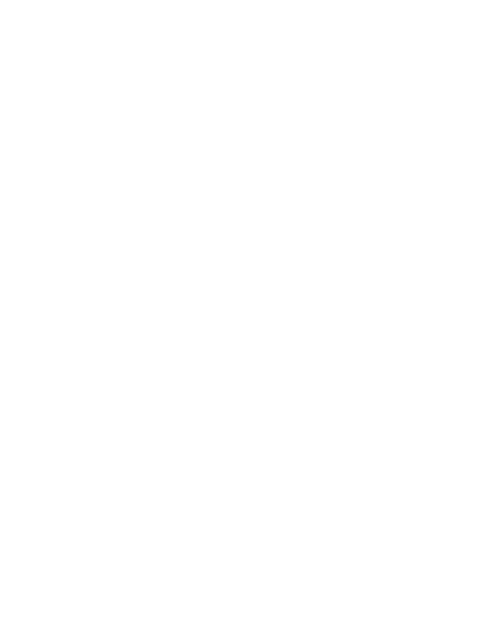20

ventional cardiology device into the coaxial lumen while the proximal portion remains within the lumen of the guide catheter.

4. The device of claim 3 wherein the proximal side opening includes structure defining a full circumference portion and 5 structure defining a partially cylindrical portion.

5. The device of claim 2 wherein the flexible cylindrical distal tip portion further comprises a radiopaque marker proximate a distal tip.

6. The device of claim 1 wherein the tubular structure 10 includes a flexible cylindrical distal tip portion and a flexible cylindrical reinforced portion proximal to the flexible distal tip portion.

7. The device of claim 6 wherein the flexible cylindrical reinforced portion is reinforced with metallic elements in a 15 braided or coiled pattern.

8. The device of claim 1 wherein the cross-sectional inner diameter of the coaxial lumen of the tubular structure is not more than one French smaller than the cross-sectional inner diameter of the guide catheter.

9. The device of claim 1 wherein the substantially rigid portion includes from distal to proximal direction, a crosssectional shape having a full circumference portion, a hemicylindrical portion and an arcuate portion.

10. The device of claim 1 wherein the predefined length of 25 the guide catheter is about 100 cm and the total length of the device is about 125 cm.

11. A device for use with a standard guide catheter, the standard guide catheter having a continuous lumen extending for a predefined length from a proximal end at a hemostatic 30 valve to a distal end adapted to be placed in a branch artery, the continuous lumen of the guide catheter having a circular cross-section and a cross-sectional inner diameter sized such that interventional cardiology devices are insertable into and through the lumen to the branch artery, the device comprising: 35

- an elongate structure having an overall length that is longer than the predefined length of the continuous lumen of the guide catheter, the elongate structure including:
- a flexible tip portion defining a tubular structure having a circular cross-section that is smaller than the circular 40 cross-section of the continuous lumen of the guide catheter and a length that is shorter than the predefined length of the continuous lumen of the guide catheter, the flexible tip portion being sized having a cross-sectional outer diameter sized to be insertable through the cross-45 sectional inner diameter of the continuous lumen of the guide catheter and defining a coaxial lumen having a cross-sectional inner diameter through which interventional cardiology devices are insertable;
- a reinforced portion proximal to the flexible tip portion; 50 and
- a substantially rigid portion proximal of and connected to, and more rigid along a longitudinal axis than, the flexible tip portion and defining a rail structure without a lumen and having a maximal cross-sectional dimension 55 at a proximal portion that is smaller than the crosssectional outer diameter of the flexible tip portion,
- such that when at least a distal portion of the flexible tip portion is extended distally of the distal end of the guide catheter with at least proximal portion of the reinforced 60 device is about 125 cm. portion remaining within the continuous lumen of the guide catheter, at least a portion of the proximal portion

of the substantially rigid portion extends proximally through the hemostatic valve in common with interventional cardiology devices that are insertable into the guide catheter.

12. The device of claim 11 wherein, when the distal portion of the flexible tip portion is insertable through the continuous lumen of the guide catheter and beyond the distal end of the guide catheter, the device assists in resisting axial and shear forces exerted by an interventional cardiology device passed through and beyond the coaxial lumen that would otherwise tend to dislodge the guide catheter from the branch artery.

13. The device of claim 11 wherein the substantially rigid portion further includes a partially cylindrical portion defining an opening extending for a distance along a side thereof defined transverse to a longitudinal axis that is adapted to receive an interventional cardiology device passed through continuous lumen of the guide catheter and into the coaxial lumen while the device is inserted into the continuous lumen, the opening extending substantially along at least a portion of a length of the substantially rigid portion.

14. The device of claim 11 wherein, after the device is inserted into the continuous lumen of the guide catheter, the device extends an overall effective length of a coaxial lumen through which an interventional cardiology device may be inserted while utilizing only a single hemostatic valve and without any telescoping structure preassembled prior to the device being inserted into the continuous lumen of the guide catheter.

15. The device of claim 11, further comprising a radiopaque marker proximate the distal portion of the flexible tip portion.

16. The device of claim 11, wherein the reinforced portion is reinforced with metallic elements in a braided or coiled pattern.

17. The device of claim 11 wherein the cross-sectional inner diameter of the coaxial lumen of the flexible distal portion is not more than one French smaller than the crosssectional inner diameter of the guide catheter.

18. The device of claim 11 wherein the substantially rigid portion includes, starting at a from distal to proximal direction, a cross-sectional shape having a full circumference portion, a hemicylindrical portion and an arcuate portion.

19. The device of claim 11 wherein the elongate structure includes, starting at the distal portion of the flexible distal portion, at least a first portion having a first flexural modulus, a second portion having a second flexural modulus greater than the first flexural modulus, and a third portion having a third flexural modulus greater than the second flexural modulus.

20. The device of claim 19 in which the first flexural modulus is about 13,000 PSI plus or minus 5000 PSI, the second flexural modulus is about 29,000 PSI plus or minus 10,000 PSI, and the third portion flexural modulus is about 49,000 PSI plus or minus 10,000 PSI.

21. The device of claim 19 in which the first portion is about 0.1 cm in length, the second portion is about three cm in length, and the third portion is about five cm in length.

22. The device of claim 11 wherein the predefined length of the guide catheter is about 100 cm and the total length of the